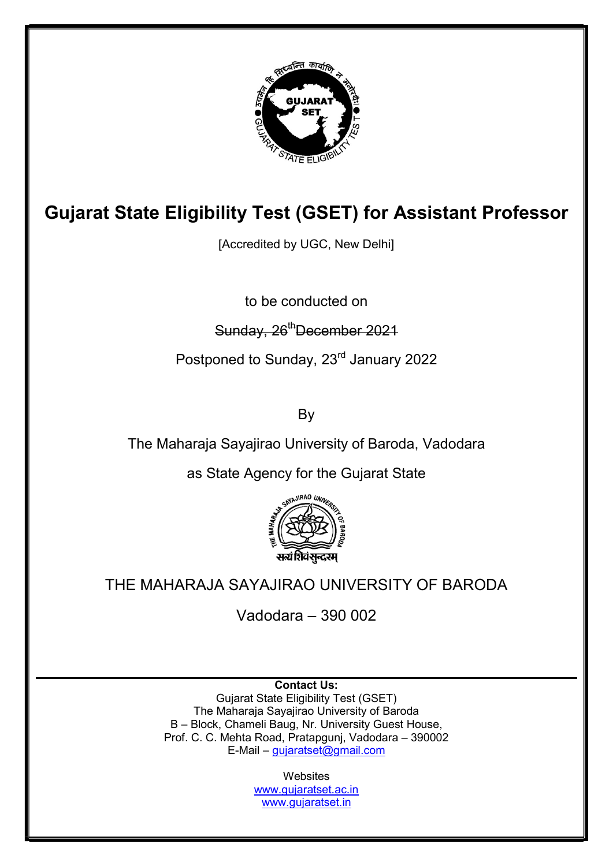

# Gujarat State Eligibility Test (GSET) for Assistant Professor

[Accredited by UGC, New Delhi]

to be conducted on

## Sunday, 26<sup>th</sup>December 2021

Postponed to Sunday, 23<sup>rd</sup> January 2022

By

The Maharaja Sayajirao University of Baroda, Vadodara

as State Agency for the Gujarat State



# THE MAHARAJA SAYAJIRAO UNIVERSITY OF BARODA

Vadodara – 390 002

Contact Us: Gujarat State Eligibility Test (GSET) The Maharaja Sayajirao University of Baroda B – Block, Chameli Baug, Nr. University Guest House, Prof. C. C. Mehta Road, Pratapgunj, Vadodara – 390002 E-Mail – gujaratset@gmail.com

> **Websites** www.gujaratset.ac.in www.gujaratset.in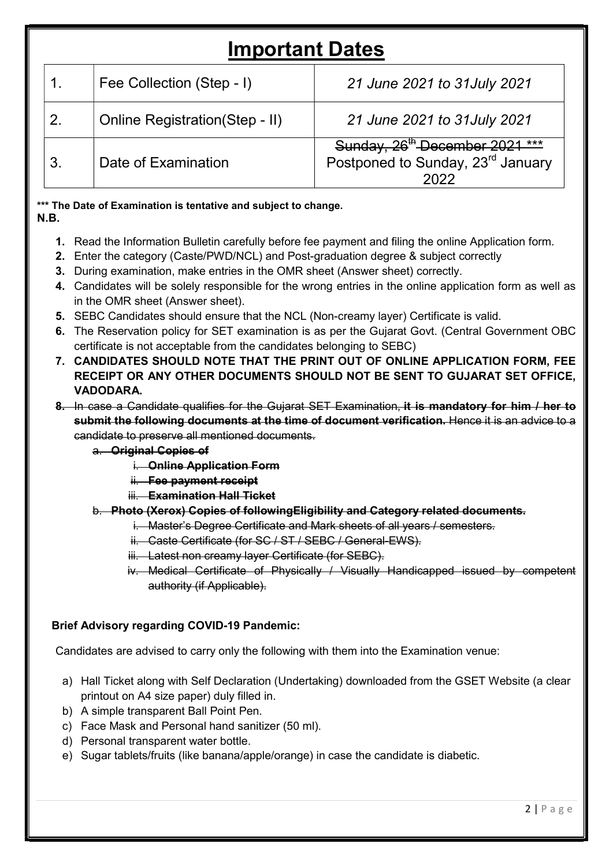# Important Dates

|                | Fee Collection (Step - I)             | 21 June 2021 to 31 July 2021                                                                |  |  |
|----------------|---------------------------------------|---------------------------------------------------------------------------------------------|--|--|
| 2.             | <b>Online Registration(Step - II)</b> | 21 June 2021 to 31 July 2021                                                                |  |  |
| 3 <sub>1</sub> | Date of Examination                   | Sunday, 26 <sup>th</sup> December 2021 ***<br>Postponed to Sunday, 23 <sup>rd</sup> January |  |  |

\*\*\* The Date of Examination is tentative and subject to change. N.B.

- 1. Read the Information Bulletin carefully before fee payment and filing the online Application form.
- 2. Enter the category (Caste/PWD/NCL) and Post-graduation degree & subject correctly
- 3. During examination, make entries in the OMR sheet (Answer sheet) correctly.
- 4. Candidates will be solely responsible for the wrong entries in the online application form as well as in the OMR sheet (Answer sheet).
- 5. SEBC Candidates should ensure that the NCL (Non-creamy layer) Certificate is valid.
- 6. The Reservation policy for SET examination is as per the Gujarat Govt. (Central Government OBC certificate is not acceptable from the candidates belonging to SEBC)
- 7. CANDIDATES SHOULD NOTE THAT THE PRINT OUT OF ONLINE APPLICATION FORM, FEE RECEIPT OR ANY OTHER DOCUMENTS SHOULD NOT BE SENT TO GUJARAT SET OFFICE, VADODARA.
- 8. In case a Candidate qualifies for the Gujarat SET Examination, it is mandatory for him / her to submit the following documents at the time of document verification. Hence it is an advice to a candidate to preserve all mentioned documents.

#### a. Original Copies of

- i. Online Application Form
- ii. Fee payment receipt
- iii. Examination Hall Ticket

#### b. Photo (Xerox) Copies of followingEligibility and Category related documents.

- i. Master's Degree Certificate and Mark sheets of all years / semesters.
- ii. Caste Certificate (for SC / ST / SEBC / General-EWS).
- iii. Latest non creamy layer Certificate (for SEBC).
- iv. Medical Certificate of Physically / Visually Handicapped issued by competent authority (if Applicable).

#### Brief Advisory regarding COVID-19 Pandemic:

Candidates are advised to carry only the following with them into the Examination venue:

- a) Hall Ticket along with Self Declaration (Undertaking) downloaded from the GSET Website (a clear printout on A4 size paper) duly filled in.
- b) A simple transparent Ball Point Pen.
- c) Face Mask and Personal hand sanitizer (50 ml).
- d) Personal transparent water bottle.
- e) Sugar tablets/fruits (like banana/apple/orange) in case the candidate is diabetic.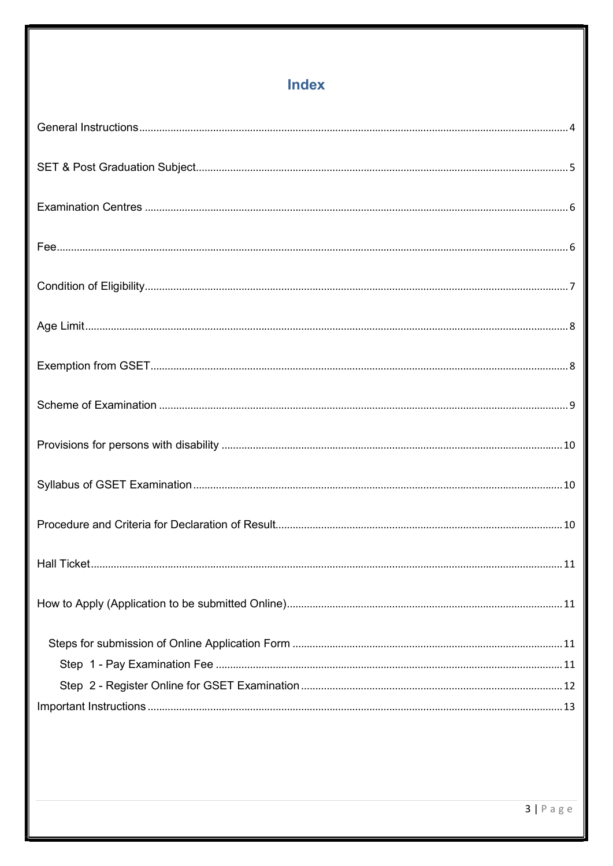## **Index**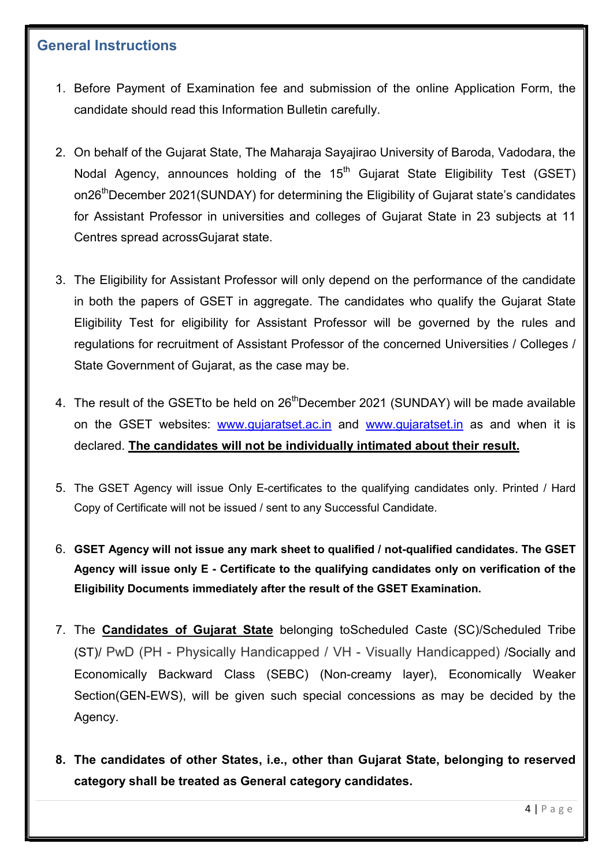### General Instructions

- 1. Before Payment of Examination fee and submission of the online Application Form, the candidate should read this Information Bulletin carefully.
- 2. On behalf of the Gujarat State, The Maharaja Sayajirao University of Baroda, Vadodara, the Nodal Agency, announces holding of the  $15<sup>th</sup>$  Gujarat State Eligibility Test (GSET) on26<sup>th</sup>December 2021(SUNDAY) for determining the Eligibility of Gujarat state's candidates for Assistant Professor in universities and colleges of Gujarat State in 23 subjects at 11 Centres spread acrossGujarat state.
- 3. The Eligibility for Assistant Professor will only depend on the performance of the candidate in both the papers of GSET in aggregate. The candidates who qualify the Gujarat State Eligibility Test for eligibility for Assistant Professor will be governed by the rules and regulations for recruitment of Assistant Professor of the concerned Universities / Colleges / State Government of Gujarat, as the case may be.
- 4. The result of the GSET to be held on 26<sup>th</sup>December 2021 (SUNDAY) will be made available on the GSET websites: www.gujaratset.ac.in and www.gujaratset.in as and when it is declared. The candidates will not be individually intimated about their result.
- 5. The GSET Agency will issue Only E-certificates to the qualifying candidates only. Printed / Hard Copy of Certificate will not be issued / sent to any Successful Candidate.
- 6. GSET Agency will not issue any mark sheet to qualified / not-qualified candidates. The GSET Agency will issue only E - Certificate to the qualifying candidates only on verification of the Eligibility Documents immediately after the result of the GSET Examination.
- 7. The Candidates of Gujarat State belonging toScheduled Caste (SC)/Scheduled Tribe (ST)/ PwD (PH - Physically Handicapped / VH - Visually Handicapped) /Socially and Economically Backward Class (SEBC) (Non-creamy layer), Economically Weaker Section(GEN-EWS), will be given such special concessions as may be decided by the Agency.
- 8. The candidates of other States, i.e., other than Gujarat State, belonging to reserved category shall be treated as General category candidates.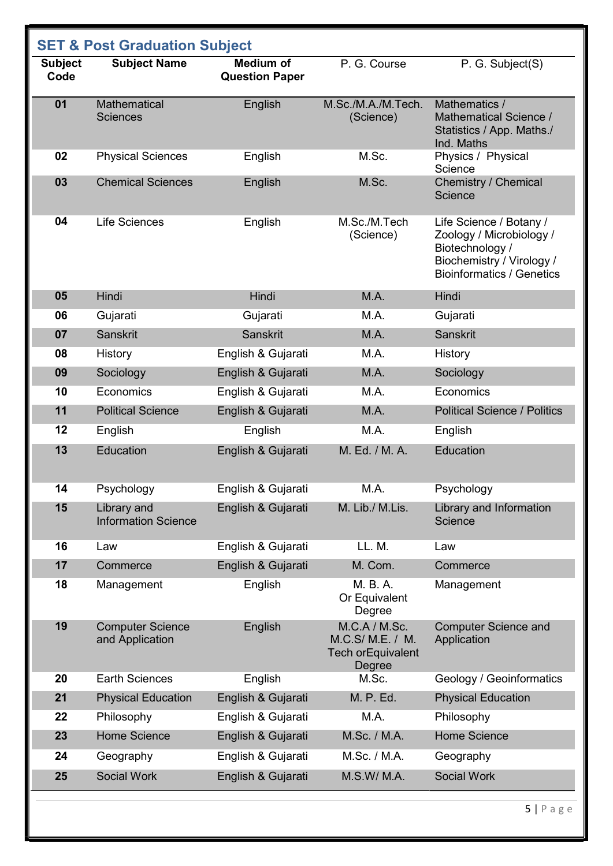| <b>SET &amp; Post Graduation Subject</b> |                                            |                                           |                                                                   |                                                                                                                                         |
|------------------------------------------|--------------------------------------------|-------------------------------------------|-------------------------------------------------------------------|-----------------------------------------------------------------------------------------------------------------------------------------|
| <b>Subject</b><br>Code                   | <b>Subject Name</b>                        | <b>Medium of</b><br><b>Question Paper</b> | P. G. Course                                                      | P. G. Subject(S)                                                                                                                        |
| 01                                       | <b>Mathematical</b><br><b>Sciences</b>     | English                                   | M.Sc./M.A./M.Tech.<br>(Science)                                   | Mathematics /<br>Mathematical Science /<br>Statistics / App. Maths./<br>Ind. Maths                                                      |
| 02                                       | <b>Physical Sciences</b>                   | English                                   | M.Sc.                                                             | Physics / Physical<br>Science                                                                                                           |
| 03                                       | <b>Chemical Sciences</b>                   | English                                   | M.Sc.                                                             | <b>Chemistry / Chemical</b><br>Science                                                                                                  |
| 04                                       | <b>Life Sciences</b>                       | English                                   | M.Sc./M.Tech<br>(Science)                                         | Life Science / Botany /<br>Zoology / Microbiology /<br>Biotechnology /<br>Biochemistry / Virology /<br><b>Bioinformatics / Genetics</b> |
| 05                                       | Hindi                                      | Hindi                                     | M.A.                                                              | Hindi                                                                                                                                   |
| 06                                       | Gujarati                                   | Gujarati                                  | M.A.                                                              | Gujarati                                                                                                                                |
| 07                                       | <b>Sanskrit</b>                            | <b>Sanskrit</b>                           | M.A.                                                              | <b>Sanskrit</b>                                                                                                                         |
| 08                                       | History                                    | English & Gujarati                        | M.A.                                                              | History                                                                                                                                 |
| 09                                       | Sociology                                  | English & Gujarati                        | M.A.                                                              | Sociology                                                                                                                               |
| 10                                       | Economics                                  | English & Gujarati                        | M.A.                                                              | Economics                                                                                                                               |
| 11                                       | <b>Political Science</b>                   | English & Gujarati                        | M.A.                                                              | <b>Political Science / Politics</b>                                                                                                     |
| 12                                       | English                                    | English                                   | M.A.                                                              | English                                                                                                                                 |
| 13                                       | Education                                  | English & Gujarati                        | M. Ed. / M. A.                                                    | Education                                                                                                                               |
| 14                                       | Psychology                                 | English & Gujarati                        | M.A.                                                              | Psychology                                                                                                                              |
| 15                                       | Library and<br><b>Information Science</b>  | English & Gujarati                        | M. Lib./ M.Lis.                                                   | Library and Information<br>Science                                                                                                      |
| 16                                       | Law                                        | English & Gujarati                        | LL. M.                                                            | Law                                                                                                                                     |
| 17                                       | Commerce                                   | English & Gujarati                        | M. Com.                                                           | Commerce                                                                                                                                |
| 18                                       | Management                                 | English                                   | M. B. A.<br>Or Equivalent<br>Degree                               | Management                                                                                                                              |
| 19                                       | <b>Computer Science</b><br>and Application | English                                   | M.C.A / M.Sc.<br>M.C.S/ M.E. / M.<br>Tech or Equivalent<br>Degree | <b>Computer Science and</b><br>Application                                                                                              |
| 20                                       | <b>Earth Sciences</b>                      | English                                   | M.Sc.                                                             | Geology / Geoinformatics                                                                                                                |
| 21                                       | <b>Physical Education</b>                  | English & Gujarati                        | M. P. Ed.                                                         | <b>Physical Education</b>                                                                                                               |
| 22                                       | Philosophy                                 | English & Gujarati                        | M.A.                                                              | Philosophy                                                                                                                              |
| 23                                       | <b>Home Science</b>                        | English & Gujarati                        | M.Sc. / M.A.                                                      | <b>Home Science</b>                                                                                                                     |
| 24                                       | Geography                                  | English & Gujarati                        | M.Sc. / M.A.                                                      | Geography                                                                                                                               |
| 25                                       | <b>Social Work</b>                         | English & Gujarati                        | M.S.W/ M.A.                                                       | <b>Social Work</b>                                                                                                                      |
|                                          |                                            |                                           |                                                                   |                                                                                                                                         |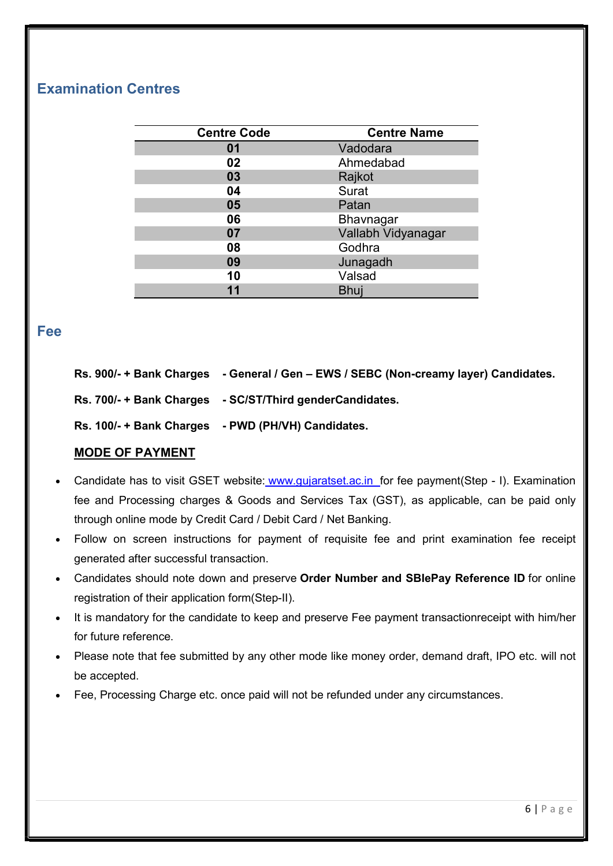### Examination Centres

| <b>Centre Code</b> | <b>Centre Name</b> |
|--------------------|--------------------|
| 01                 | Vadodara           |
| 02                 | Ahmedabad          |
| 03                 | Rajkot             |
| 04                 | Surat              |
| 05                 | Patan              |
| 06                 | <b>Bhavnagar</b>   |
| 07                 | Vallabh Vidyanagar |
| 08                 | Godhra             |
| 09                 | Junagadh           |
| 10                 | Valsad             |
| 11                 | Bhuj               |

#### Fee

| Rs. 900/- + Bank Charges | - General / Gen - EWS / SEBC (Non-creamy layer) Candidates. |
|--------------------------|-------------------------------------------------------------|
| Rs. 700/- + Bank Charges | - SC/ST/Third genderCandidates.                             |
| Rs. 100/- + Bank Charges | - PWD (PH/VH) Candidates.                                   |

#### MODE OF PAYMENT

- Candidate has to visit GSET website: www.gujaratset.ac.in for fee payment(Step I). Examination fee and Processing charges & Goods and Services Tax (GST), as applicable, can be paid only through online mode by Credit Card / Debit Card / Net Banking.
- Follow on screen instructions for payment of requisite fee and print examination fee receipt generated after successful transaction.
- Candidates should note down and preserve Order Number and SBIePay Reference ID for online registration of their application form(Step-II).
- It is mandatory for the candidate to keep and preserve Fee payment transactionreceipt with him/her for future reference.
- Please note that fee submitted by any other mode like money order, demand draft, IPO etc. will not be accepted.
- Fee, Processing Charge etc. once paid will not be refunded under any circumstances.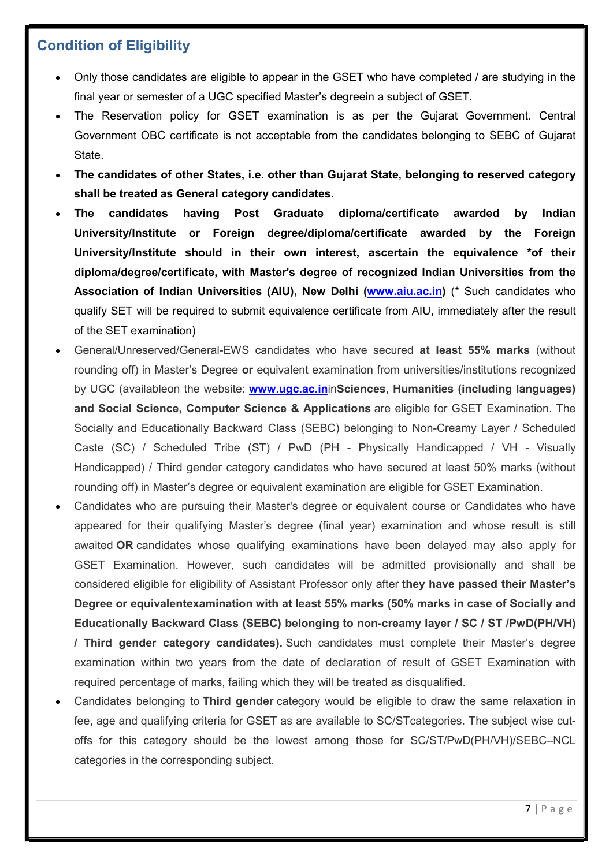### Condition of Eligibility

- Only those candidates are eligible to appear in the GSET who have completed / are studying in the final year or semester of a UGC specified Master's degreein a subject of GSET.
- The Reservation policy for GSET examination is as per the Gujarat Government. Central Government OBC certificate is not acceptable from the candidates belonging to SEBC of Gujarat State.
- The candidates of other States, i.e. other than Gujarat State, belonging to reserved category shall be treated as General category candidates.
- The candidates having Post Graduate diploma/certificate awarded by Indian University/Institute or Foreign degree/diploma/certificate awarded by the Foreign University/Institute should in their own interest, ascertain the equivalence \*of their diploma/degree/certificate, with Master's degree of recognized Indian Universities from the Association of Indian Universities (AIU), New Delhi (www.aiu.ac.in) (\* Such candidates who qualify SET will be required to submit equivalence certificate from AIU, immediately after the result of the SET examination)
- General/Unreserved/General-EWS candidates who have secured at least 55% marks (without rounding off) in Master's Degree or equivalent examination from universities/institutions recognized by UGC (availableon the website: www.ugc.ac.ininSciences, Humanities (including languages) and Social Science, Computer Science & Applications are eligible for GSET Examination. The Socially and Educationally Backward Class (SEBC) belonging to Non-Creamy Layer / Scheduled Caste (SC) / Scheduled Tribe (ST) / PwD (PH - Physically Handicapped / VH - Visually Handicapped) / Third gender category candidates who have secured at least 50% marks (without rounding off) in Master's degree or equivalent examination are eligible for GSET Examination.
- Candidates who are pursuing their Master's degree or equivalent course or Candidates who have appeared for their qualifying Master's degree (final year) examination and whose result is still awaited OR candidates whose qualifying examinations have been delayed may also apply for GSET Examination. However, such candidates will be admitted provisionally and shall be considered eligible for eligibility of Assistant Professor only after they have passed their Master's Degree or equivalentexamination with at least 55% marks (50% marks in case of Socially and Educationally Backward Class (SEBC) belonging to non-creamy layer / SC / ST /PwD(PH/VH) / Third gender category candidates). Such candidates must complete their Master's degree examination within two years from the date of declaration of result of GSET Examination with required percentage of marks, failing which they will be treated as disqualified.
- Candidates belonging to Third gender category would be eligible to draw the same relaxation in fee, age and qualifying criteria for GSET as are available to SC/STcategories. The subject wise cutoffs for this category should be the lowest among those for SC/ST/PwD(PH/VH)/SEBC–NCL categories in the corresponding subject.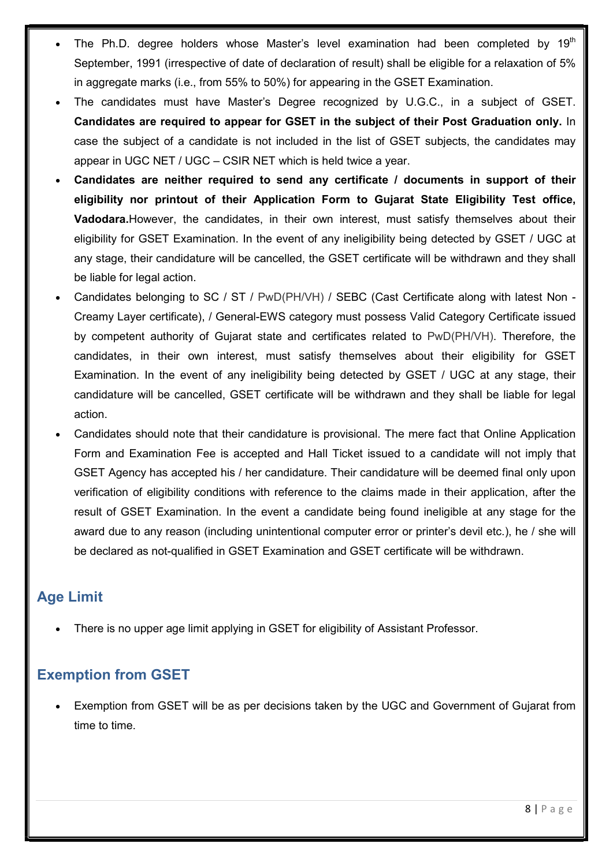- The Ph.D. degree holders whose Master's level examination had been completed by 19<sup>th</sup> September, 1991 (irrespective of date of declaration of result) shall be eligible for a relaxation of 5% in aggregate marks (i.e., from 55% to 50%) for appearing in the GSET Examination.
- The candidates must have Master's Degree recognized by U.G.C., in a subject of GSET. Candidates are required to appear for GSET in the subject of their Post Graduation only. In case the subject of a candidate is not included in the list of GSET subjects, the candidates may appear in UGC NET / UGC – CSIR NET which is held twice a year.
- Candidates are neither required to send any certificate / documents in support of their eligibility nor printout of their Application Form to Gujarat State Eligibility Test office, Vadodara.However, the candidates, in their own interest, must satisfy themselves about their eligibility for GSET Examination. In the event of any ineligibility being detected by GSET / UGC at any stage, their candidature will be cancelled, the GSET certificate will be withdrawn and they shall be liable for legal action.
- Candidates belonging to SC / ST / PwD(PH/VH) / SEBC (Cast Certificate along with latest Non Creamy Layer certificate), / General-EWS category must possess Valid Category Certificate issued by competent authority of Gujarat state and certificates related to PwD(PH/VH). Therefore, the candidates, in their own interest, must satisfy themselves about their eligibility for GSET Examination. In the event of any ineligibility being detected by GSET / UGC at any stage, their candidature will be cancelled, GSET certificate will be withdrawn and they shall be liable for legal action.
- Candidates should note that their candidature is provisional. The mere fact that Online Application Form and Examination Fee is accepted and Hall Ticket issued to a candidate will not imply that GSET Agency has accepted his / her candidature. Their candidature will be deemed final only upon verification of eligibility conditions with reference to the claims made in their application, after the result of GSET Examination. In the event a candidate being found ineligible at any stage for the award due to any reason (including unintentional computer error or printer's devil etc.), he / she will be declared as not-qualified in GSET Examination and GSET certificate will be withdrawn.

### Age Limit

There is no upper age limit applying in GSET for eligibility of Assistant Professor.

### Exemption from GSET

 Exemption from GSET will be as per decisions taken by the UGC and Government of Gujarat from time to time.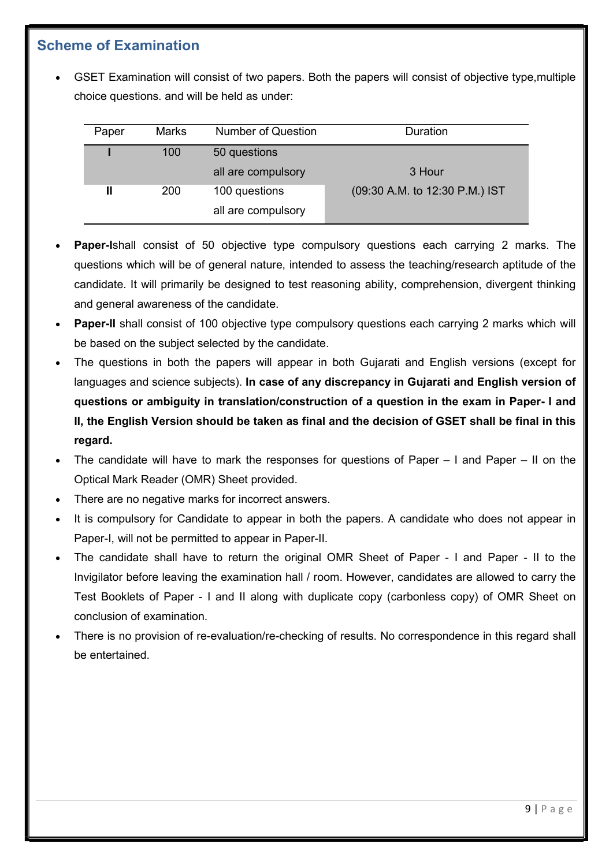### Scheme of Examination

 GSET Examination will consist of two papers. Both the papers will consist of objective type,multiple choice questions. and will be held as under:

| Paper | <b>Marks</b> | <b>Number of Question</b> | Duration                       |
|-------|--------------|---------------------------|--------------------------------|
|       | 100          | 50 questions              |                                |
|       |              | all are compulsory        | 3 Hour                         |
|       | 200          | 100 questions             | (09:30 A.M. to 12:30 P.M.) IST |
|       |              | all are compulsory        |                                |

- Paper-Ishall consist of 50 objective type compulsory questions each carrying 2 marks. The questions which will be of general nature, intended to assess the teaching/research aptitude of the candidate. It will primarily be designed to test reasoning ability, comprehension, divergent thinking and general awareness of the candidate.
- Paper-II shall consist of 100 objective type compulsory questions each carrying 2 marks which will be based on the subject selected by the candidate.
- The questions in both the papers will appear in both Gujarati and English versions (except for languages and science subjects). In case of any discrepancy in Gujarati and English version of questions or ambiguity in translation/construction of a question in the exam in Paper- I and II, the English Version should be taken as final and the decision of GSET shall be final in this regard.
- The candidate will have to mark the responses for questions of Paper I and Paper II on the Optical Mark Reader (OMR) Sheet provided.
- There are no negative marks for incorrect answers.
- It is compulsory for Candidate to appear in both the papers. A candidate who does not appear in Paper-I, will not be permitted to appear in Paper-II.
- The candidate shall have to return the original OMR Sheet of Paper I and Paper II to the Invigilator before leaving the examination hall / room. However, candidates are allowed to carry the Test Booklets of Paper - I and II along with duplicate copy (carbonless copy) of OMR Sheet on conclusion of examination.
- There is no provision of re-evaluation/re-checking of results. No correspondence in this regard shall be entertained.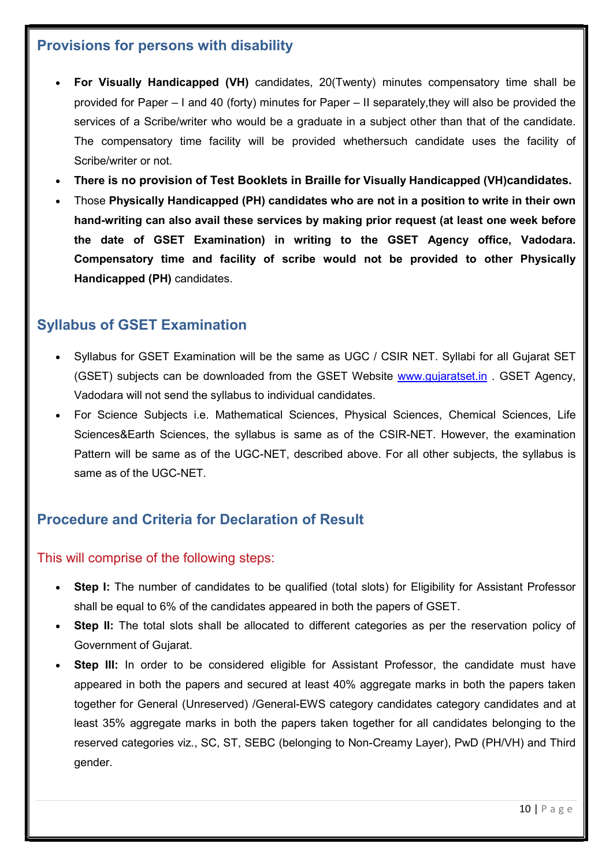### Provisions for persons with disability

- For Visually Handicapped (VH) candidates, 20(Twenty) minutes compensatory time shall be provided for Paper – I and 40 (forty) minutes for Paper – II separately,they will also be provided the services of a Scribe/writer who would be a graduate in a subject other than that of the candidate. The compensatory time facility will be provided whethersuch candidate uses the facility of Scribe/writer or not.
- There is no provision of Test Booklets in Braille for Visually Handicapped (VH)candidates.
- Those Physically Handicapped (PH) candidates who are not in a position to write in their own hand-writing can also avail these services by making prior request (at least one week before the date of GSET Examination) in writing to the GSET Agency office, Vadodara. Compensatory time and facility of scribe would not be provided to other Physically Handicapped (PH) candidates.

### Syllabus of GSET Examination

- Syllabus for GSET Examination will be the same as UGC / CSIR NET. Syllabi for all Gujarat SET (GSET) subjects can be downloaded from the GSET Website www.gujaratset.in . GSET Agency, Vadodara will not send the syllabus to individual candidates.
- For Science Subjects i.e. Mathematical Sciences, Physical Sciences, Chemical Sciences, Life Sciences&Earth Sciences, the syllabus is same as of the CSIR-NET. However, the examination Pattern will be same as of the UGC-NET, described above. For all other subjects, the syllabus is same as of the UGC-NET.

### Procedure and Criteria for Declaration of Result

#### This will comprise of the following steps:

- Step I: The number of candidates to be qualified (total slots) for Eligibility for Assistant Professor shall be equal to 6% of the candidates appeared in both the papers of GSET.
- Step II: The total slots shall be allocated to different categories as per the reservation policy of Government of Gujarat.
- Step III: In order to be considered eligible for Assistant Professor, the candidate must have appeared in both the papers and secured at least 40% aggregate marks in both the papers taken together for General (Unreserved) /General-EWS category candidates category candidates and at least 35% aggregate marks in both the papers taken together for all candidates belonging to the reserved categories viz., SC, ST, SEBC (belonging to Non-Creamy Layer), PwD (PH/VH) and Third gender.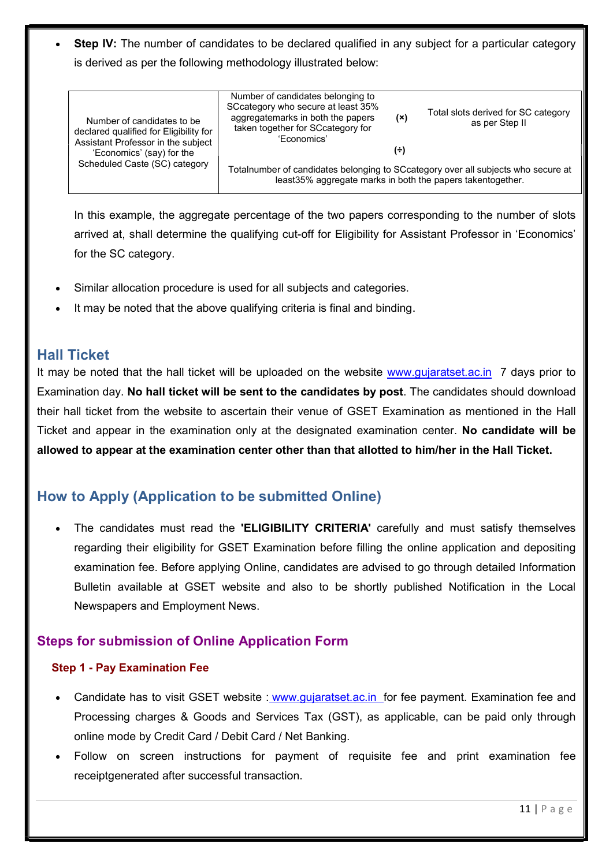Step IV: The number of candidates to be declared qualified in any subject for a particular category is derived as per the following methodology illustrated below:

|  | Number of candidates to be<br>declared qualified for Eligibility for<br>Assistant Professor in the subject | Number of candidates belonging to<br>SCcategory who secure at least 35%<br>aggregatemarks in both the papers<br>taken together for SCcategory for<br>'Economics' | (x) | Total slots derived for SC category<br>as per Step II |
|--|------------------------------------------------------------------------------------------------------------|------------------------------------------------------------------------------------------------------------------------------------------------------------------|-----|-------------------------------------------------------|
|  | 'Economics' (say) for the                                                                                  |                                                                                                                                                                  | (÷) |                                                       |
|  | Scheduled Caste (SC) category                                                                              | Totalnumber of candidates belonging to SCcategory over all subjects who secure at<br>least35% aggregate marks in both the papers takentogether.                  |     |                                                       |

In this example, the aggregate percentage of the two papers corresponding to the number of slots arrived at, shall determine the qualifying cut-off for Eligibility for Assistant Professor in 'Economics' for the SC category.

- Similar allocation procedure is used for all subjects and categories.
- It may be noted that the above qualifying criteria is final and binding.

#### Hall Ticket

It may be noted that the hall ticket will be uploaded on the website www.gujaratset.ac.in 7 days prior to Examination day. No hall ticket will be sent to the candidates by post. The candidates should download their hall ticket from the website to ascertain their venue of GSET Examination as mentioned in the Hall Ticket and appear in the examination only at the designated examination center. No candidate will be allowed to appear at the examination center other than that allotted to him/her in the Hall Ticket.

### How to Apply (Application to be submitted Online)

The candidates must read the **'ELIGIBILITY CRITERIA'** carefully and must satisfy themselves regarding their eligibility for GSET Examination before filling the online application and depositing examination fee. Before applying Online, candidates are advised to go through detailed Information Bulletin available at GSET website and also to be shortly published Notification in the Local Newspapers and Employment News.

#### Steps for submission of Online Application Form

#### Step 1 - Pay Examination Fee

- Candidate has to visit GSET website : www.gujaratset.ac.in for fee payment. Examination fee and Processing charges & Goods and Services Tax (GST), as applicable, can be paid only through online mode by Credit Card / Debit Card / Net Banking.
- Follow on screen instructions for payment of requisite fee and print examination fee receiptgenerated after successful transaction.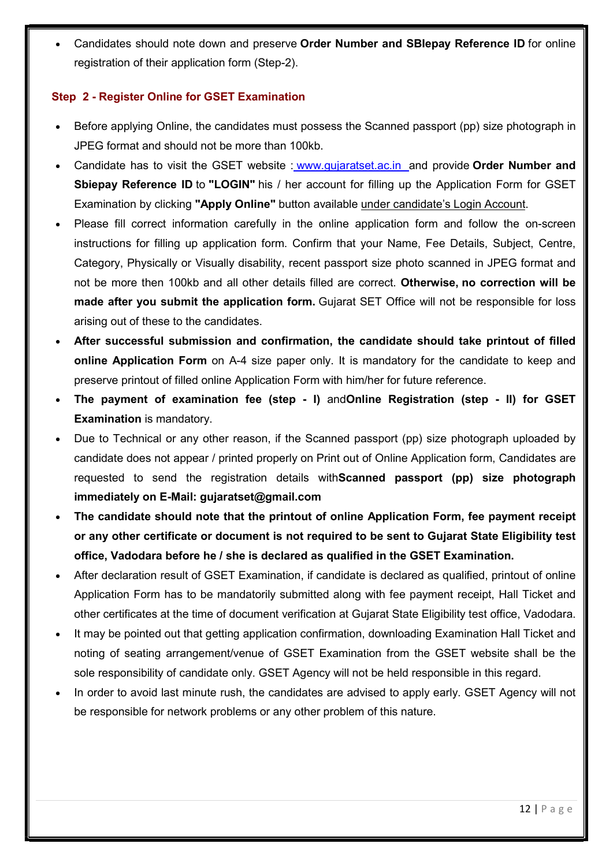Candidates should note down and preserve Order Number and SBIepay Reference ID for online registration of their application form (Step-2).

#### Step 2 - Register Online for GSET Examination

- Before applying Online, the candidates must possess the Scanned passport (pp) size photograph in JPEG format and should not be more than 100kb.
- Candidate has to visit the GSET website : www.gujaratset.ac.in and provide Order Number and Sbiepay Reference ID to "LOGIN" his / her account for filling up the Application Form for GSET Examination by clicking "Apply Online" button available under candidate's Login Account.
- Please fill correct information carefully in the online application form and follow the on-screen instructions for filling up application form. Confirm that your Name, Fee Details, Subject, Centre, Category, Physically or Visually disability, recent passport size photo scanned in JPEG format and not be more then 100kb and all other details filled are correct. Otherwise, no correction will be made after you submit the application form. Gujarat SET Office will not be responsible for loss arising out of these to the candidates.
- After successful submission and confirmation, the candidate should take printout of filled online Application Form on A-4 size paper only. It is mandatory for the candidate to keep and preserve printout of filled online Application Form with him/her for future reference.
- The payment of examination fee (step I) andOnline Registration (step II) for GSET Examination is mandatory.
- Due to Technical or any other reason, if the Scanned passport (pp) size photograph uploaded by candidate does not appear / printed properly on Print out of Online Application form, Candidates are requested to send the registration details withScanned passport (pp) size photograph immediately on E-Mail: gujaratset@gmail.com
- The candidate should note that the printout of online Application Form, fee payment receipt or any other certificate or document is not required to be sent to Gujarat State Eligibility test office, Vadodara before he / she is declared as qualified in the GSET Examination.
- After declaration result of GSET Examination, if candidate is declared as qualified, printout of online Application Form has to be mandatorily submitted along with fee payment receipt, Hall Ticket and other certificates at the time of document verification at Gujarat State Eligibility test office, Vadodara.
- It may be pointed out that getting application confirmation, downloading Examination Hall Ticket and noting of seating arrangement/venue of GSET Examination from the GSET website shall be the sole responsibility of candidate only. GSET Agency will not be held responsible in this regard.
- In order to avoid last minute rush, the candidates are advised to apply early. GSET Agency will not be responsible for network problems or any other problem of this nature.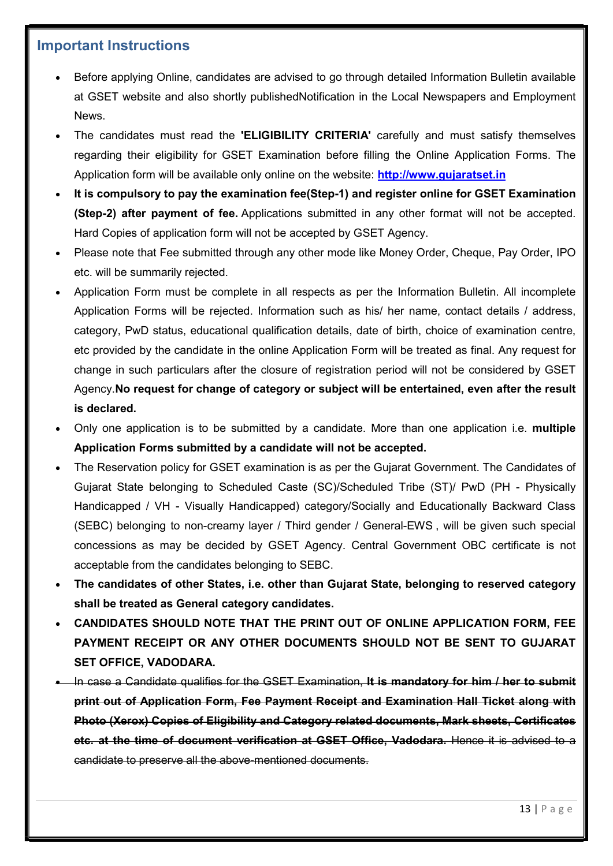### Important Instructions

- Before applying Online, candidates are advised to go through detailed Information Bulletin available at GSET website and also shortly publishedNotification in the Local Newspapers and Employment News.
- The candidates must read the **'ELIGIBILITY CRITERIA'** carefully and must satisfy themselves regarding their eligibility for GSET Examination before filling the Online Application Forms. The Application form will be available only online on the website: http://www.gujaratset.in
- It is compulsory to pay the examination fee(Step-1) and register online for GSET Examination (Step-2) after payment of fee. Applications submitted in any other format will not be accepted. Hard Copies of application form will not be accepted by GSET Agency.
- Please note that Fee submitted through any other mode like Money Order, Cheque, Pay Order, IPO etc. will be summarily rejected.
- Application Form must be complete in all respects as per the Information Bulletin. All incomplete Application Forms will be rejected. Information such as his/ her name, contact details / address, category, PwD status, educational qualification details, date of birth, choice of examination centre, etc provided by the candidate in the online Application Form will be treated as final. Any request for change in such particulars after the closure of registration period will not be considered by GSET Agency.No request for change of category or subject will be entertained, even after the result is declared.
- Only one application is to be submitted by a candidate. More than one application i.e. multiple Application Forms submitted by a candidate will not be accepted.
- The Reservation policy for GSET examination is as per the Gujarat Government. The Candidates of Gujarat State belonging to Scheduled Caste (SC)/Scheduled Tribe (ST)/ PwD (PH - Physically Handicapped / VH - Visually Handicapped) category/Socially and Educationally Backward Class (SEBC) belonging to non-creamy layer / Third gender / General-EWS , will be given such special concessions as may be decided by GSET Agency. Central Government OBC certificate is not acceptable from the candidates belonging to SEBC.
- The candidates of other States, i.e. other than Gujarat State, belonging to reserved category shall be treated as General category candidates.
- CANDIDATES SHOULD NOTE THAT THE PRINT OUT OF ONLINE APPLICATION FORM, FEE PAYMENT RECEIPT OR ANY OTHER DOCUMENTS SHOULD NOT BE SENT TO GUJARAT SET OFFICE, VADODARA.
- In case a Candidate qualifies for the GSET Examination. It is mandatory for him / her to submit print out of Application Form, Fee Payment Receipt and Examination Hall Ticket along with Photo (Xerox) Copies of Eligibility and Category related documents, Mark sheets, Certificates etc. at the time of document verification at GSET Office, Vadodara. Hence it is advised to a candidate to preserve all the above-mentioned documents.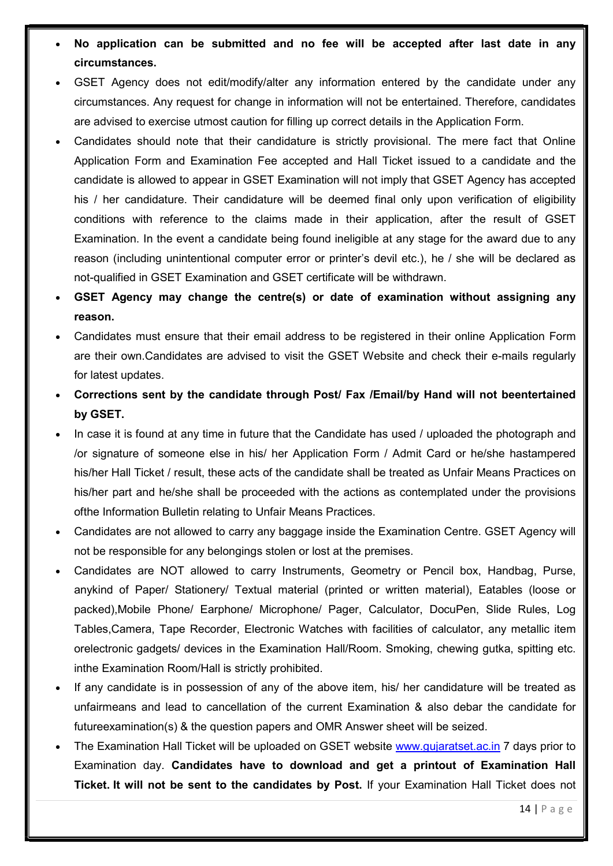- No application can be submitted and no fee will be accepted after last date in any circumstances.
- GSET Agency does not edit/modify/alter any information entered by the candidate under any circumstances. Any request for change in information will not be entertained. Therefore, candidates are advised to exercise utmost caution for filling up correct details in the Application Form.
- Candidates should note that their candidature is strictly provisional. The mere fact that Online Application Form and Examination Fee accepted and Hall Ticket issued to a candidate and the candidate is allowed to appear in GSET Examination will not imply that GSET Agency has accepted his / her candidature. Their candidature will be deemed final only upon verification of eligibility conditions with reference to the claims made in their application, after the result of GSET Examination. In the event a candidate being found ineligible at any stage for the award due to any reason (including unintentional computer error or printer's devil etc.), he / she will be declared as not-qualified in GSET Examination and GSET certificate will be withdrawn.
- GSET Agency may change the centre(s) or date of examination without assigning any reason.
- Candidates must ensure that their email address to be registered in their online Application Form are their own.Candidates are advised to visit the GSET Website and check their e-mails regularly for latest updates.
- Corrections sent by the candidate through Post/ Fax /Email/by Hand will not beentertained by GSET.
- In case it is found at any time in future that the Candidate has used / uploaded the photograph and /or signature of someone else in his/ her Application Form / Admit Card or he/she hastampered his/her Hall Ticket / result, these acts of the candidate shall be treated as Unfair Means Practices on his/her part and he/she shall be proceeded with the actions as contemplated under the provisions ofthe Information Bulletin relating to Unfair Means Practices.
- Candidates are not allowed to carry any baggage inside the Examination Centre. GSET Agency will not be responsible for any belongings stolen or lost at the premises.
- Candidates are NOT allowed to carry Instruments, Geometry or Pencil box, Handbag, Purse, anykind of Paper/ Stationery/ Textual material (printed or written material), Eatables (loose or packed),Mobile Phone/ Earphone/ Microphone/ Pager, Calculator, DocuPen, Slide Rules, Log Tables,Camera, Tape Recorder, Electronic Watches with facilities of calculator, any metallic item orelectronic gadgets/ devices in the Examination Hall/Room. Smoking, chewing gutka, spitting etc. inthe Examination Room/Hall is strictly prohibited.
- If any candidate is in possession of any of the above item, his/ her candidature will be treated as unfairmeans and lead to cancellation of the current Examination & also debar the candidate for futureexamination(s) & the question papers and OMR Answer sheet will be seized.
- The Examination Hall Ticket will be uploaded on GSET website www.gujaratset.ac.in 7 days prior to Examination day. Candidates have to download and get a printout of Examination Hall Ticket. It will not be sent to the candidates by Post. If your Examination Hall Ticket does not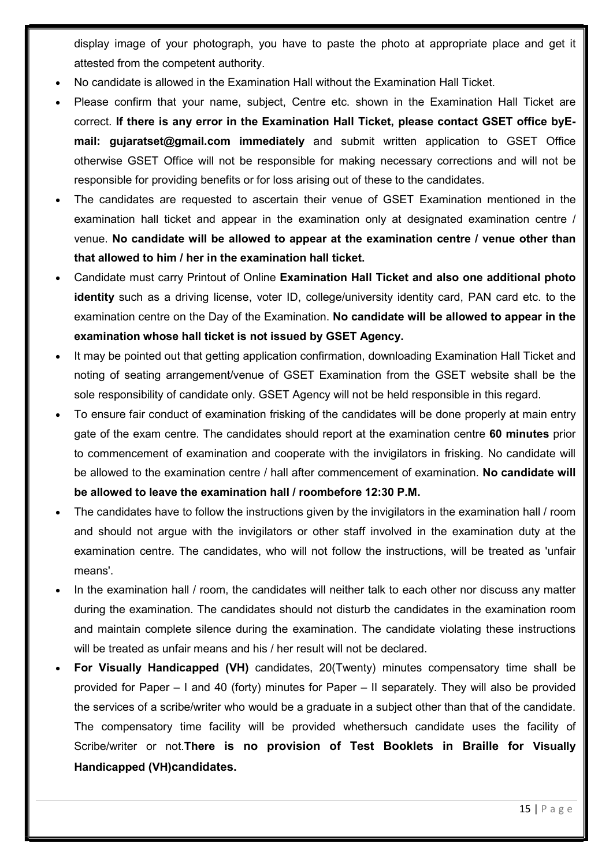display image of your photograph, you have to paste the photo at appropriate place and get it attested from the competent authority.

- No candidate is allowed in the Examination Hall without the Examination Hall Ticket.
- Please confirm that your name, subject, Centre etc. shown in the Examination Hall Ticket are correct. If there is any error in the Examination Hall Ticket, please contact GSET office byEmail: gujaratset@gmail.com immediately and submit written application to GSET Office otherwise GSET Office will not be responsible for making necessary corrections and will not be responsible for providing benefits or for loss arising out of these to the candidates.
- The candidates are requested to ascertain their venue of GSET Examination mentioned in the examination hall ticket and appear in the examination only at designated examination centre / venue. No candidate will be allowed to appear at the examination centre / venue other than that allowed to him / her in the examination hall ticket.
- Candidate must carry Printout of Online Examination Hall Ticket and also one additional photo identity such as a driving license, voter ID, college/university identity card, PAN card etc. to the examination centre on the Day of the Examination. No candidate will be allowed to appear in the examination whose hall ticket is not issued by GSET Agency.
- It may be pointed out that getting application confirmation, downloading Examination Hall Ticket and noting of seating arrangement/venue of GSET Examination from the GSET website shall be the sole responsibility of candidate only. GSET Agency will not be held responsible in this regard.
- To ensure fair conduct of examination frisking of the candidates will be done properly at main entry gate of the exam centre. The candidates should report at the examination centre 60 minutes prior to commencement of examination and cooperate with the invigilators in frisking. No candidate will be allowed to the examination centre / hall after commencement of examination. No candidate will be allowed to leave the examination hall / roombefore 12:30 P.M.
- The candidates have to follow the instructions given by the invigilators in the examination hall / room and should not argue with the invigilators or other staff involved in the examination duty at the examination centre. The candidates, who will not follow the instructions, will be treated as 'unfair means'.
- In the examination hall / room, the candidates will neither talk to each other nor discuss any matter during the examination. The candidates should not disturb the candidates in the examination room and maintain complete silence during the examination. The candidate violating these instructions will be treated as unfair means and his / her result will not be declared.
- For Visually Handicapped (VH) candidates, 20(Twenty) minutes compensatory time shall be provided for Paper – I and 40 (forty) minutes for Paper – II separately. They will also be provided the services of a scribe/writer who would be a graduate in a subject other than that of the candidate. The compensatory time facility will be provided whethersuch candidate uses the facility of Scribe/writer or not.There is no provision of Test Booklets in Braille for Visually Handicapped (VH)candidates.